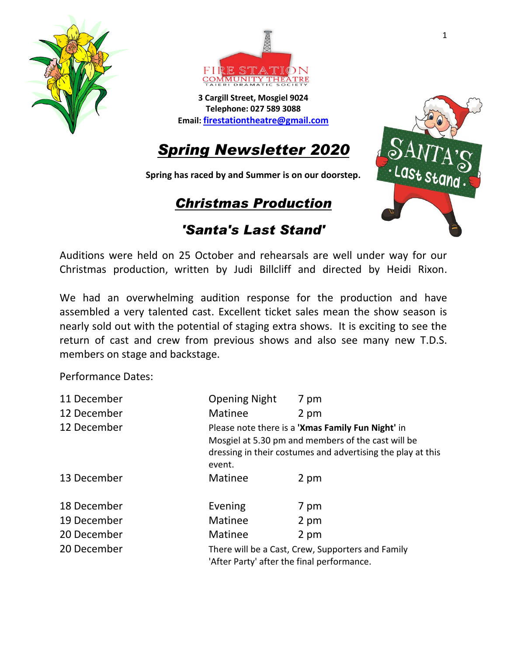



**3 Cargill Street, Mosgiel 9024 Telephone: 027 589 3088 Email: [firestationtheatre@gmail.com](mailto:firestationtheatre@gmail.com)**

# *Spring Newsletter 2020*

**Spring has raced by and Summer is on our doorstep.**

# *Christmas Production*



### *'Santa's Last Stand'*

Auditions were held on 25 October and rehearsals are well under way for our Christmas production, written by Judi Billcliff and directed by Heidi Rixon.

We had an overwhelming audition response for the production and have assembled a very talented cast. Excellent ticket sales mean the show season is nearly sold out with the potential of staging extra shows. It is exciting to see the return of cast and crew from previous shows and also see many new T.D.S. members on stage and backstage.

Performance Dates:

| 11 December | <b>Opening Night</b>                                                                                                                                                             | 7 pm |
|-------------|----------------------------------------------------------------------------------------------------------------------------------------------------------------------------------|------|
| 12 December | Matinee                                                                                                                                                                          | 2 pm |
| 12 December | Please note there is a 'Xmas Family Fun Night' in<br>Mosgiel at 5.30 pm and members of the cast will be<br>dressing in their costumes and advertising the play at this<br>event. |      |
| 13 December | Matinee                                                                                                                                                                          | 2 pm |
| 18 December | Evening                                                                                                                                                                          | 7 pm |
| 19 December | <b>Matinee</b>                                                                                                                                                                   | 2 pm |
| 20 December | Matinee                                                                                                                                                                          | 2 pm |
| 20 December | There will be a Cast, Crew, Supporters and Family<br>'After Party' after the final performance.                                                                                  |      |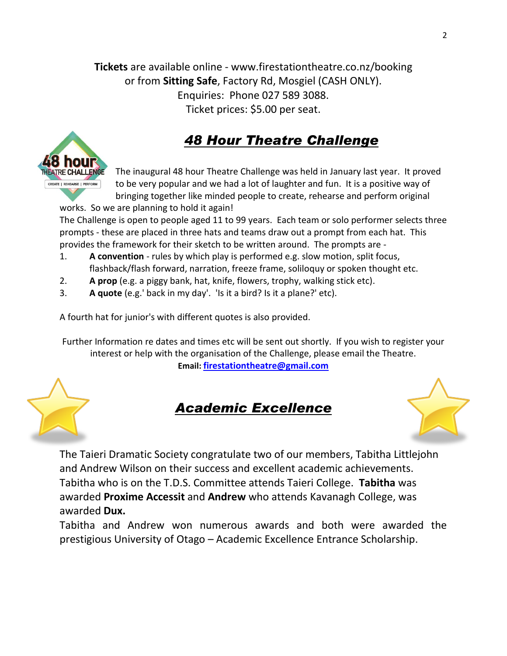**Tickets** are available online - www.firestationtheatre.co.nz/booking or from **Sitting Safe**, Factory Rd, Mosgiel (CASH ONLY). Enquiries: Phone 027 589 3088. Ticket prices: \$5.00 per seat.

# *48 Hour Theatre Challenge*



works. So we are planning to hold it again!

The Challenge is open to people aged 11 to 99 years. Each team or solo performer selects three prompts - these are placed in three hats and teams draw out a prompt from each hat. This provides the framework for their sketch to be written around. The prompts are -

- 1. **A convention** rules by which play is performed e.g. slow motion, split focus, flashback/flash forward, narration, freeze frame, soliloquy or spoken thought etc.
- 2. **A prop** (e.g. a piggy bank, hat, knife, flowers, trophy, walking stick etc).
- 3. **A quote** (e.g.' back in my day'. 'Is it a bird? Is it a plane?' etc).

A fourth hat for junior's with different quotes is also provided.

Further Information re dates and times etc will be sent out shortly. If you wish to register your interest or help with the organisation of the Challenge, please email the Theatre. **Email: [firestationtheatre@gmail.com](mailto:firestationtheatre@gmail.com)**





The Taieri Dramatic Society congratulate two of our members, Tabitha Littlejohn and Andrew Wilson on their success and excellent academic achievements. Tabitha who is on the T.D.S. Committee attends Taieri College. **Tabitha** was awarded **Proxime Accessit** and **Andrew** who attends Kavanagh College, was awarded **Dux.**

Tabitha and Andrew won numerous awards and both were awarded the prestigious University of Otago – Academic Excellence Entrance Scholarship.

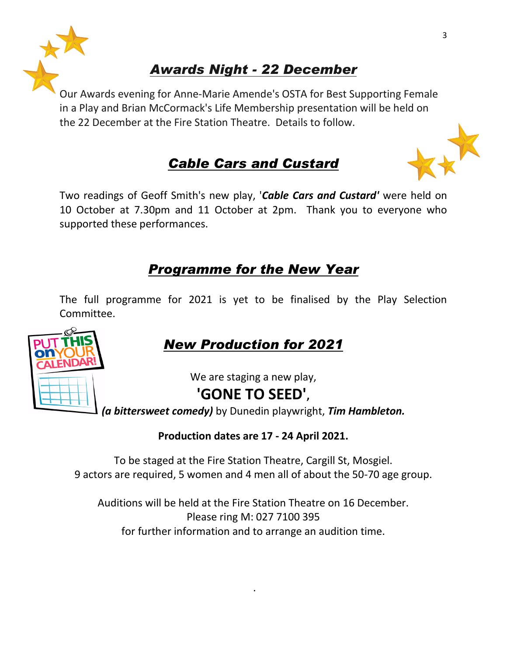

# *Awards Night - 22 December*

Our Awards evening for Anne-Marie Amende's OSTA for Best Supporting Female in a Play and Brian McCormack's Life Membership presentation will be held on the 22 December at the Fire Station Theatre. Details to follow.

## *Cable Cars and Custard*

Two readings of Geoff Smith's new play, '*Cable Cars and Custard'* were held on 10 October at 7.30pm and 11 October at 2pm. Thank you to everyone who supported these performances.

### *Programme for the New Year*

The full programme for 2021 is yet to be finalised by the Play Selection Committee.

# *New Production for 2021*

We are staging a new play,

## **'GONE TO SEED',**

*(a bittersweet comedy)* by Dunedin playwright, *Tim Hambleton.*

### **Production dates are 17 - 24 April 2021.**

To be staged at the Fire Station Theatre, Cargill St, Mosgiel. 9 actors are required, 5 women and 4 men all of about the 50-70 age group.

Auditions will be held at the Fire Station Theatre on 16 December. Please ring M: 027 7100 395 for further information and to arrange an audition time.

.



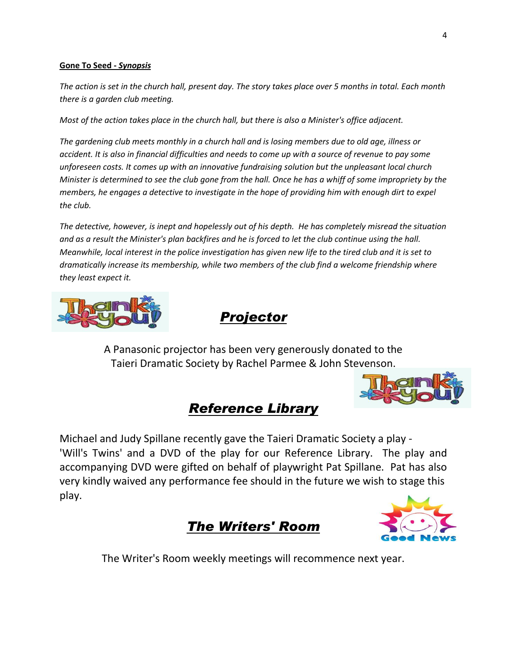#### **Gone To Seed -** *Synopsis*

*The action is set in the church hall, present day. The story takes place over 5 months in total. Each month there is a garden club meeting.*

*Most of the action takes place in the church hall, but there is also a Minister's office adjacent.*

*The gardening club meets monthly in a church hall and is losing members due to old age, illness or accident. It is also in financial difficulties and needs to come up with a source of revenue to pay some unforeseen costs. It comes up with an innovative fundraising solution but the unpleasant local church Minister is determined to see the club gone from the hall. Once he has a whiff of some impropriety by the members, he engages a detective to investigate in the hope of providing him with enough dirt to expel the club.*

*The detective, however, is inept and hopelessly out of his depth. He has completely misread the situation and as a result the Minister's plan backfires and he is forced to let the club continue using the hall. Meanwhile, local interest in the police investigation has given new life to the tired club and it is set to dramatically increase its membership, while two members of the club find a welcome friendship where they least expect it.*



## *Projector*

A Panasonic projector has been very generously donated to the Taieri Dramatic Society by Rachel Parmee & John Stevenson.



### *Reference Library*

Michael and Judy Spillane recently gave the Taieri Dramatic Society a play - 'Will's Twins' and a DVD of the play for our Reference Library. The play and accompanying DVD were gifted on behalf of playwright Pat Spillane. Pat has also very kindly waived any performance fee should in the future we wish to stage this play.





The Writer's Room weekly meetings will recommence next year.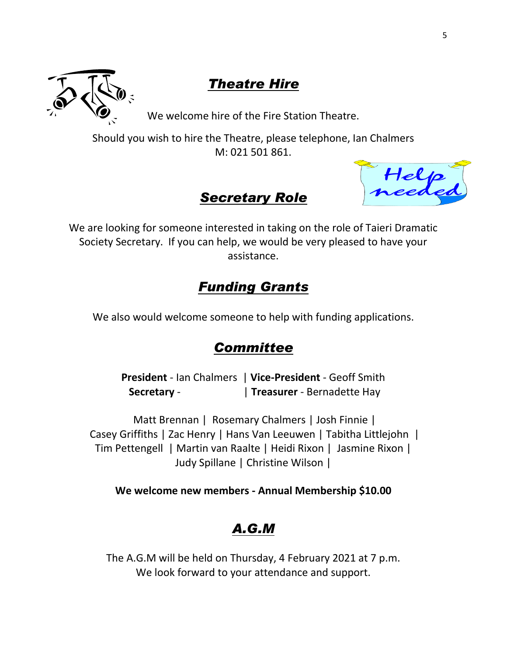

## *Theatre Hire*

We welcome hire of the Fire Station Theatre.

Should you wish to hire the Theatre, please telephone, Ian Chalmers M: 021 501 861.

### *Secretary Role*

Help<br>needed

We are looking for someone interested in taking on the role of Taieri Dramatic Society Secretary. If you can help, we would be very pleased to have your assistance.

## *Funding Grants*

We also would welcome someone to help with funding applications.

## *Committee*

**President** - Ian Chalmers | **Vice-President** - Geoff Smith **Secretary** - | **Treasurer** - Bernadette Hay

Matt Brennan | Rosemary Chalmers | Josh Finnie | Casey Griffiths | Zac Henry | Hans Van Leeuwen | Tabitha Littlejohn | Tim Pettengell | Martin van Raalte | Heidi Rixon | Jasmine Rixon | Judy Spillane | Christine Wilson |

**We welcome new members - Annual Membership \$10.00**

## *A.G.M*

The A.G.M will be held on Thursday, 4 February 2021 at 7 p.m. We look forward to your attendance and support.